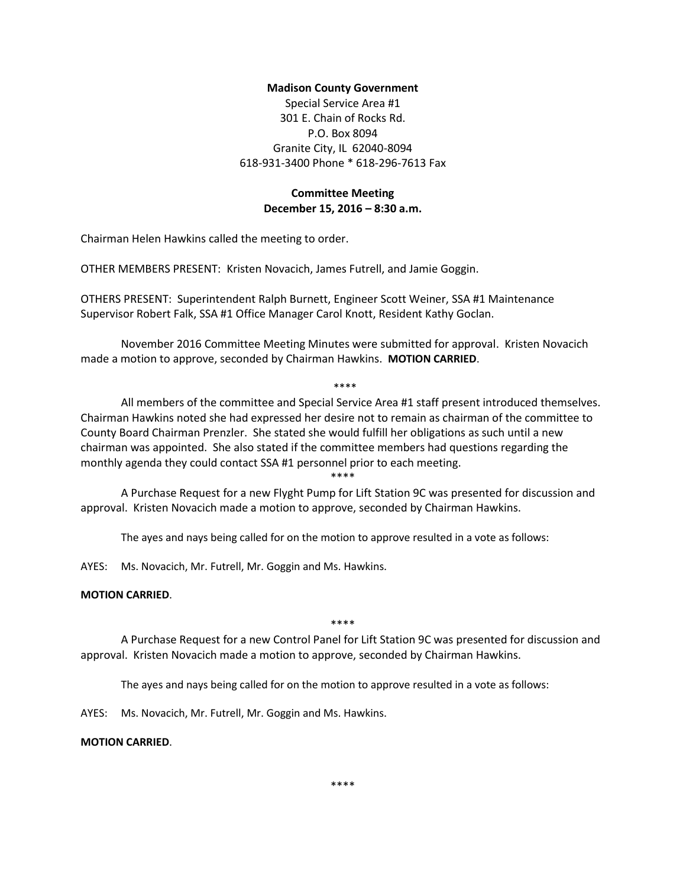## **Madison County Government**

Special Service Area #1 301 E. Chain of Rocks Rd. P.O. Box 8094 Granite City, IL 62040-8094 618-931-3400 Phone \* 618-296-7613 Fax

# **Committee Meeting December 15, 2016 – 8:30 a.m.**

Chairman Helen Hawkins called the meeting to order.

OTHER MEMBERS PRESENT: Kristen Novacich, James Futrell, and Jamie Goggin.

OTHERS PRESENT: Superintendent Ralph Burnett, Engineer Scott Weiner, SSA #1 Maintenance Supervisor Robert Falk, SSA #1 Office Manager Carol Knott, Resident Kathy Goclan.

November 2016 Committee Meeting Minutes were submitted for approval. Kristen Novacich made a motion to approve, seconded by Chairman Hawkins. **MOTION CARRIED**.

#### \*\*\*\*

All members of the committee and Special Service Area #1 staff present introduced themselves. Chairman Hawkins noted she had expressed her desire not to remain as chairman of the committee to County Board Chairman Prenzler. She stated she would fulfill her obligations as such until a new chairman was appointed. She also stated if the committee members had questions regarding the monthly agenda they could contact SSA #1 personnel prior to each meeting.

\*\*\*\*

A Purchase Request for a new Flyght Pump for Lift Station 9C was presented for discussion and approval. Kristen Novacich made a motion to approve, seconded by Chairman Hawkins.

The ayes and nays being called for on the motion to approve resulted in a vote as follows:

AYES: Ms. Novacich, Mr. Futrell, Mr. Goggin and Ms. Hawkins.

### **MOTION CARRIED**.

\*\*\*\*

A Purchase Request for a new Control Panel for Lift Station 9C was presented for discussion and approval. Kristen Novacich made a motion to approve, seconded by Chairman Hawkins.

The ayes and nays being called for on the motion to approve resulted in a vote as follows:

AYES: Ms. Novacich, Mr. Futrell, Mr. Goggin and Ms. Hawkins.

#### **MOTION CARRIED**.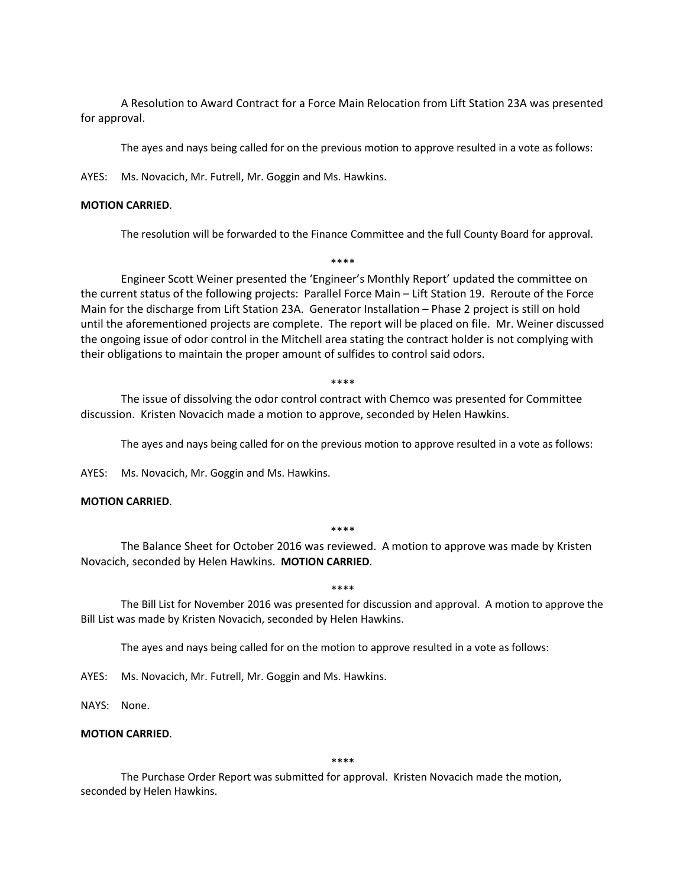A Resolution to Award Contract for a Force Main Relocation from Lift Station 23A was presented for approval.

The ayes and nays being called for on the previous motion to approve resulted in a vote as follows:

AYES: Ms. Novacich, Mr. Futrell, Mr. Goggin and Ms. Hawkins.

### **MOTION CARRIED**.

The resolution will be forwarded to the Finance Committee and the full County Board for approval.

\*\*\*\*

Engineer Scott Weiner presented the 'Engineer's Monthly Report' updated the committee on the current status of the following projects: Parallel Force Main – Lift Station 19. Reroute of the Force Main for the discharge from Lift Station 23A. Generator Installation – Phase 2 project is still on hold until the aforementioned projects are complete. The report will be placed on file. Mr. Weiner discussed the ongoing issue of odor control in the Mitchell area stating the contract holder is not complying with their obligations to maintain the proper amount of sulfides to control said odors.

\*\*\*\*

The issue of dissolving the odor control contract with Chemco was presented for Committee discussion. Kristen Novacich made a motion to approve, seconded by Helen Hawkins.

The ayes and nays being called for on the previous motion to approve resulted in a vote as follows:

AYES: Ms. Novacich, Mr. Goggin and Ms. Hawkins.

## **MOTION CARRIED**.

#### \*\*\*\*

The Balance Sheet for October 2016 was reviewed. A motion to approve was made by Kristen Novacich, seconded by Helen Hawkins. **MOTION CARRIED**.

#### \*\*\*\*

The Bill List for November 2016 was presented for discussion and approval. A motion to approve the Bill List was made by Kristen Novacich, seconded by Helen Hawkins.

The ayes and nays being called for on the motion to approve resulted in a vote as follows:

AYES: Ms. Novacich, Mr. Futrell, Mr. Goggin and Ms. Hawkins.

NAYS: None.

### **MOTION CARRIED**.

\*\*\*\*

The Purchase Order Report was submitted for approval. Kristen Novacich made the motion, seconded by Helen Hawkins.